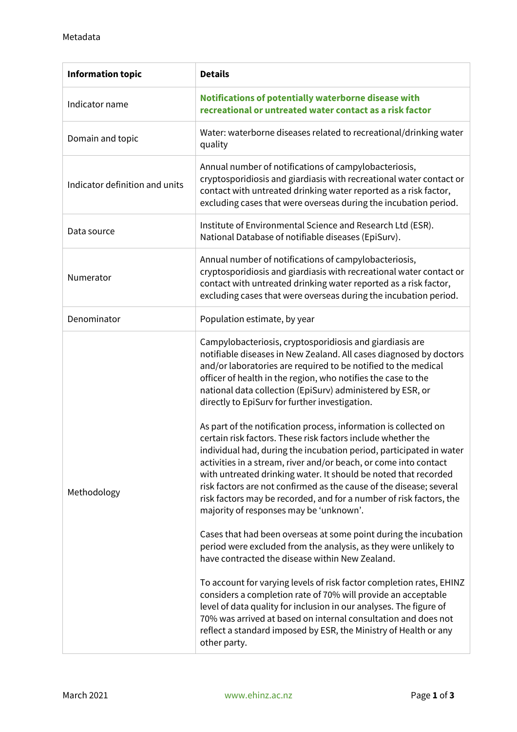| <b>Information topic</b>       | <b>Details</b>                                                                                                                                                                                                                                                                                                                                                                                                                                                                                                        |
|--------------------------------|-----------------------------------------------------------------------------------------------------------------------------------------------------------------------------------------------------------------------------------------------------------------------------------------------------------------------------------------------------------------------------------------------------------------------------------------------------------------------------------------------------------------------|
| Indicator name                 | Notifications of potentially waterborne disease with<br>recreational or untreated water contact as a risk factor                                                                                                                                                                                                                                                                                                                                                                                                      |
| Domain and topic               | Water: waterborne diseases related to recreational/drinking water<br>quality                                                                                                                                                                                                                                                                                                                                                                                                                                          |
| Indicator definition and units | Annual number of notifications of campylobacteriosis,<br>cryptosporidiosis and giardiasis with recreational water contact or<br>contact with untreated drinking water reported as a risk factor,<br>excluding cases that were overseas during the incubation period.                                                                                                                                                                                                                                                  |
| Data source                    | Institute of Environmental Science and Research Ltd (ESR).<br>National Database of notifiable diseases (EpiSurv).                                                                                                                                                                                                                                                                                                                                                                                                     |
| Numerator                      | Annual number of notifications of campylobacteriosis,<br>cryptosporidiosis and giardiasis with recreational water contact or<br>contact with untreated drinking water reported as a risk factor,<br>excluding cases that were overseas during the incubation period.                                                                                                                                                                                                                                                  |
| Denominator                    | Population estimate, by year                                                                                                                                                                                                                                                                                                                                                                                                                                                                                          |
| Methodology                    | Campylobacteriosis, cryptosporidiosis and giardiasis are<br>notifiable diseases in New Zealand. All cases diagnosed by doctors<br>and/or laboratories are required to be notified to the medical<br>officer of health in the region, who notifies the case to the<br>national data collection (EpiSurv) administered by ESR, or<br>directly to EpiSurv for further investigation.<br>As part of the notification process, information is collected on<br>certain risk factors. These risk factors include whether the |
|                                | individual had, during the incubation period, participated in water<br>activities in a stream, river and/or beach, or come into contact<br>with untreated drinking water. It should be noted that recorded<br>risk factors are not confirmed as the cause of the disease; several<br>risk factors may be recorded, and for a number of risk factors, the<br>majority of responses may be 'unknown'.                                                                                                                   |
|                                | Cases that had been overseas at some point during the incubation<br>period were excluded from the analysis, as they were unlikely to<br>have contracted the disease within New Zealand.                                                                                                                                                                                                                                                                                                                               |
|                                | To account for varying levels of risk factor completion rates, EHINZ<br>considers a completion rate of 70% will provide an acceptable<br>level of data quality for inclusion in our analyses. The figure of<br>70% was arrived at based on internal consultation and does not<br>reflect a standard imposed by ESR, the Ministry of Health or any<br>other party.                                                                                                                                                     |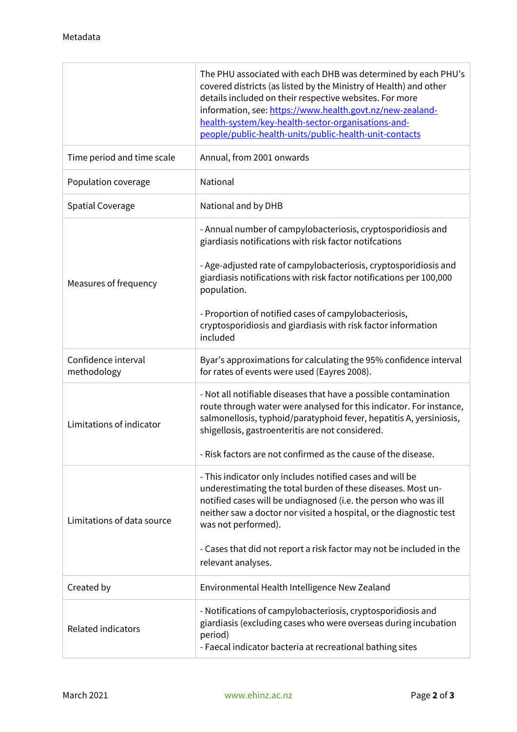|                                    | The PHU associated with each DHB was determined by each PHU's<br>covered districts (as listed by the Ministry of Health) and other<br>details included on their respective websites. For more<br>information, see: https://www.health.govt.nz/new-zealand-<br>health-system/key-health-sector-organisations-and-<br>people/public-health-units/public-health-unit-contacts |
|------------------------------------|----------------------------------------------------------------------------------------------------------------------------------------------------------------------------------------------------------------------------------------------------------------------------------------------------------------------------------------------------------------------------|
| Time period and time scale         | Annual, from 2001 onwards                                                                                                                                                                                                                                                                                                                                                  |
| Population coverage                | National                                                                                                                                                                                                                                                                                                                                                                   |
| <b>Spatial Coverage</b>            | National and by DHB                                                                                                                                                                                                                                                                                                                                                        |
| Measures of frequency              | - Annual number of campylobacteriosis, cryptosporidiosis and<br>giardiasis notifications with risk factor notifcations<br>- Age-adjusted rate of campylobacteriosis, cryptosporidiosis and                                                                                                                                                                                 |
|                                    | giardiasis notifications with risk factor notifications per 100,000<br>population.                                                                                                                                                                                                                                                                                         |
|                                    | - Proportion of notified cases of campylobacteriosis,<br>cryptosporidiosis and giardiasis with risk factor information<br>included                                                                                                                                                                                                                                         |
| Confidence interval<br>methodology | Byar's approximations for calculating the 95% confidence interval<br>for rates of events were used (Eayres 2008).                                                                                                                                                                                                                                                          |
| Limitations of indicator           | - Not all notifiable diseases that have a possible contamination<br>route through water were analysed for this indicator. For instance,<br>salmonellosis, typhoid/paratyphoid fever, hepatitis A, yersiniosis,<br>shigellosis, gastroenteritis are not considered.                                                                                                         |
|                                    | Risk factors are not confirmed as the cause of the disease.                                                                                                                                                                                                                                                                                                                |
| Limitations of data source         | - This indicator only includes notified cases and will be<br>underestimating the total burden of these diseases. Most un-<br>notified cases will be undiagnosed (i.e. the person who was ill<br>neither saw a doctor nor visited a hospital, or the diagnostic test<br>was not performed).                                                                                 |
|                                    | - Cases that did not report a risk factor may not be included in the<br>relevant analyses.                                                                                                                                                                                                                                                                                 |
| Created by                         | Environmental Health Intelligence New Zealand                                                                                                                                                                                                                                                                                                                              |
| <b>Related indicators</b>          | - Notifications of campylobacteriosis, cryptosporidiosis and<br>giardiasis (excluding cases who were overseas during incubation<br>period)<br>- Faecal indicator bacteria at recreational bathing sites                                                                                                                                                                    |